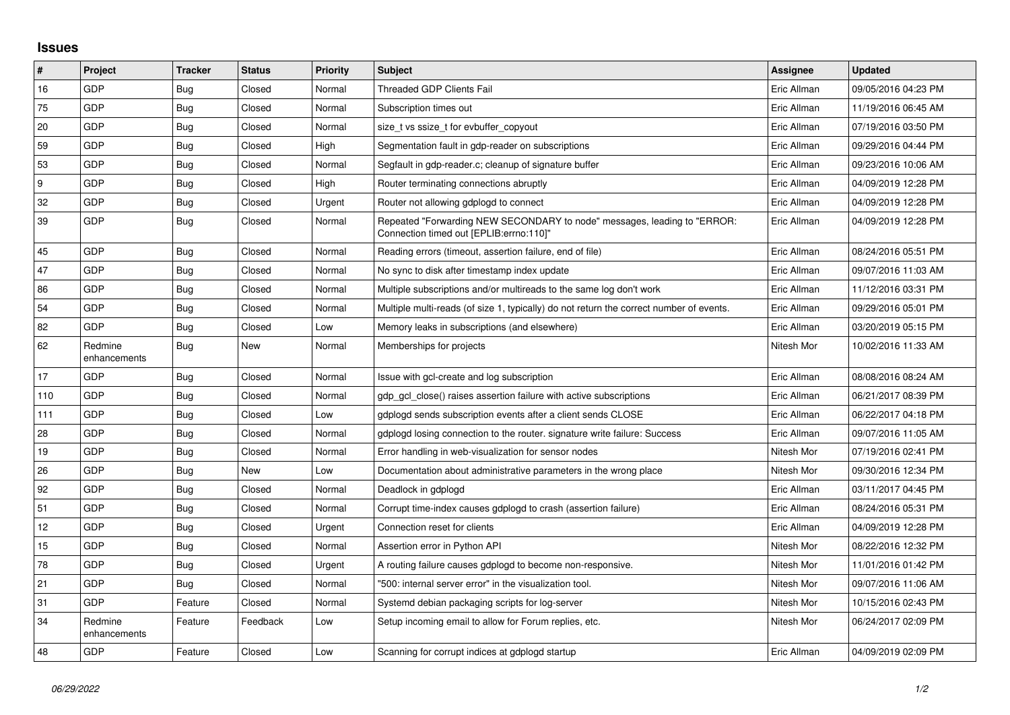## **Issues**

| #               | Project                 | <b>Tracker</b> | <b>Status</b> | Priority | <b>Subject</b>                                                                                                      | Assignee    | <b>Updated</b>      |
|-----------------|-------------------------|----------------|---------------|----------|---------------------------------------------------------------------------------------------------------------------|-------------|---------------------|
| 16              | GDP                     | Bug            | Closed        | Normal   | <b>Threaded GDP Clients Fail</b>                                                                                    | Eric Allman | 09/05/2016 04:23 PM |
| 75              | GDP                     | Bug            | Closed        | Normal   | Subscription times out                                                                                              | Eric Allman | 11/19/2016 06:45 AM |
| 20              | GDP                     | <b>Bug</b>     | Closed        | Normal   | size_t vs ssize_t for evbuffer_copyout                                                                              | Eric Allman | 07/19/2016 03:50 PM |
| 59              | GDP                     | <b>Bug</b>     | Closed        | High     | Segmentation fault in gdp-reader on subscriptions                                                                   | Eric Allman | 09/29/2016 04:44 PM |
| 53              | GDP                     | <b>Bug</b>     | Closed        | Normal   | Segfault in gdp-reader.c; cleanup of signature buffer                                                               | Eric Allman | 09/23/2016 10:06 AM |
| 9               | GDP                     | <b>Bug</b>     | Closed        | High     | Router terminating connections abruptly                                                                             | Eric Allman | 04/09/2019 12:28 PM |
| 32              | GDP                     | Bug            | Closed        | Urgent   | Router not allowing gdplogd to connect                                                                              | Eric Allman | 04/09/2019 12:28 PM |
| 39              | GDP                     | <b>Bug</b>     | Closed        | Normal   | Repeated "Forwarding NEW SECONDARY to node" messages, leading to "ERROR:<br>Connection timed out [EPLIB:errno:110]" | Eric Allman | 04/09/2019 12:28 PM |
| 45              | GDP                     | <b>Bug</b>     | Closed        | Normal   | Reading errors (timeout, assertion failure, end of file)                                                            | Eric Allman | 08/24/2016 05:51 PM |
| 47              | GDP                     | <b>Bug</b>     | Closed        | Normal   | No sync to disk after timestamp index update                                                                        | Eric Allman | 09/07/2016 11:03 AM |
| 86              | GDP                     | <b>Bug</b>     | Closed        | Normal   | Multiple subscriptions and/or multireads to the same log don't work                                                 | Eric Allman | 11/12/2016 03:31 PM |
| 54              | GDP                     | <b>Bug</b>     | Closed        | Normal   | Multiple multi-reads (of size 1, typically) do not return the correct number of events.                             | Eric Allman | 09/29/2016 05:01 PM |
| 82              | GDP                     | <b>Bug</b>     | Closed        | Low      | Memory leaks in subscriptions (and elsewhere)                                                                       | Eric Allman | 03/20/2019 05:15 PM |
| 62              | Redmine<br>enhancements | <b>Bug</b>     | <b>New</b>    | Normal   | Memberships for projects                                                                                            | Nitesh Mor  | 10/02/2016 11:33 AM |
| 17              | GDP                     | <b>Bug</b>     | Closed        | Normal   | Issue with gcl-create and log subscription                                                                          | Eric Allman | 08/08/2016 08:24 AM |
| 110             | GDP                     | <b>Bug</b>     | Closed        | Normal   | gdp gcl close() raises assertion failure with active subscriptions                                                  | Eric Allman | 06/21/2017 08:39 PM |
| 111             | GDP                     | <b>Bug</b>     | Closed        | Low      | gdplogd sends subscription events after a client sends CLOSE                                                        | Eric Allman | 06/22/2017 04:18 PM |
| 28              | GDP                     | <b>Bug</b>     | Closed        | Normal   | gdplogd losing connection to the router, signature write failure: Success                                           | Eric Allman | 09/07/2016 11:05 AM |
| 19              | GDP                     | <b>Bug</b>     | Closed        | Normal   | Error handling in web-visualization for sensor nodes                                                                | Nitesh Mor  | 07/19/2016 02:41 PM |
| 26              | GDP                     | Bug            | New           | Low      | Documentation about administrative parameters in the wrong place                                                    | Nitesh Mor  | 09/30/2016 12:34 PM |
| 92              | GDP                     | <b>Bug</b>     | Closed        | Normal   | Deadlock in gdplogd                                                                                                 | Eric Allman | 03/11/2017 04:45 PM |
| 51              | GDP                     | <b>Bug</b>     | Closed        | Normal   | Corrupt time-index causes gdplogd to crash (assertion failure)                                                      | Eric Allman | 08/24/2016 05:31 PM |
| 12 <sub>2</sub> | GDP                     | Bug            | Closed        | Urgent   | Connection reset for clients                                                                                        | Eric Allman | 04/09/2019 12:28 PM |
| 15              | GDP                     | <b>Bug</b>     | Closed        | Normal   | Assertion error in Python API                                                                                       | Nitesh Mor  | 08/22/2016 12:32 PM |
| 78              | GDP                     | <b>Bug</b>     | Closed        | Urgent   | A routing failure causes gdplogd to become non-responsive.                                                          | Nitesh Mor  | 11/01/2016 01:42 PM |
| 21              | GDP                     | Bug            | Closed        | Normal   | '500: internal server error" in the visualization tool.                                                             | Nitesh Mor  | 09/07/2016 11:06 AM |
| 31              | GDP                     | Feature        | Closed        | Normal   | Systemd debian packaging scripts for log-server                                                                     | Nitesh Mor  | 10/15/2016 02:43 PM |
| 34              | Redmine<br>enhancements | Feature        | Feedback      | Low      | Setup incoming email to allow for Forum replies, etc.                                                               | Nitesh Mor  | 06/24/2017 02:09 PM |
| 48              | GDP                     | Feature        | Closed        | Low      | Scanning for corrupt indices at gdplogd startup                                                                     | Eric Allman | 04/09/2019 02:09 PM |